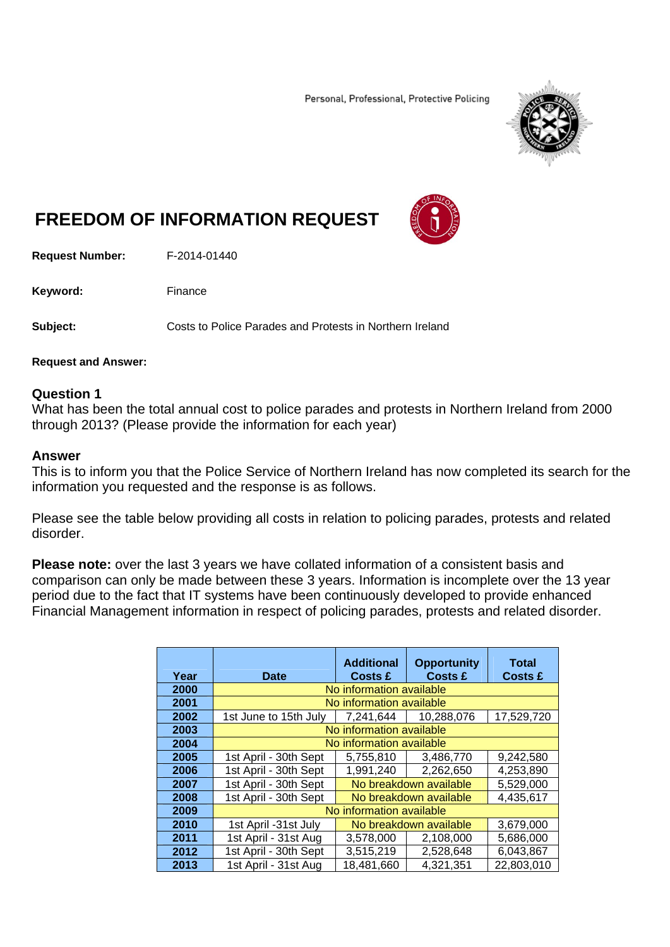Personal, Professional, Protective Policing



# **FREEDOM OF INFORMATION REQUEST**

**Request Number:** F-2014-01440

Keyword: Finance

**Subject:** Costs to Police Parades and Protests in Northern Ireland

#### **Request and Answer:**

### **Question 1**

What has been the total annual cost to police parades and protests in Northern Ireland from 2000 through 2013? (Please provide the information for each year)

#### **Answer**

This is to inform you that the Police Service of Northern Ireland has now completed its search for the information you requested and the response is as follows.

Please see the table below providing all costs in relation to policing parades, protests and related disorder.

**Please note:** over the last 3 years we have collated information of a consistent basis and comparison can only be made between these 3 years. Information is incomplete over the 13 year period due to the fact that IT systems have been continuously developed to provide enhanced Financial Management information in respect of policing parades, protests and related disorder.

| Year | <b>Date</b>              | <b>Additional</b><br>Costs £ | <b>Opportunity</b><br><b>Costs £</b> | Total<br><b>Costs £</b> |
|------|--------------------------|------------------------------|--------------------------------------|-------------------------|
| 2000 | No information available |                              |                                      |                         |
| 2001 | No information available |                              |                                      |                         |
| 2002 | 1st June to 15th July    | 7.241.644                    | 10,288,076                           | 17,529,720              |
| 2003 | No information available |                              |                                      |                         |
| 2004 | No information available |                              |                                      |                         |
| 2005 | 1st April - 30th Sept    | 5,755,810                    | 3,486,770                            | 9,242,580               |
| 2006 | 1st April - 30th Sept    | 1,991,240                    | 2,262,650                            | 4,253,890               |
| 2007 | 1st April - 30th Sept    | No breakdown available       |                                      | 5.529.000               |
| 2008 | 1st April - 30th Sept    | No breakdown available       |                                      | 4,435,617               |
| 2009 | No information available |                              |                                      |                         |
| 2010 | 1st April -31st July     | No breakdown available       |                                      | 3,679,000               |
| 2011 | 1st April - 31st Aug     | 3.578.000                    | 2.108.000                            | 5,686,000               |
| 2012 | 1st April - 30th Sept    | 3,515,219                    | 2,528,648                            | 6,043,867               |
| 2013 | 1st April - 31st Aug     | 18,481,660                   | 4,321,351                            | 22,803,010              |